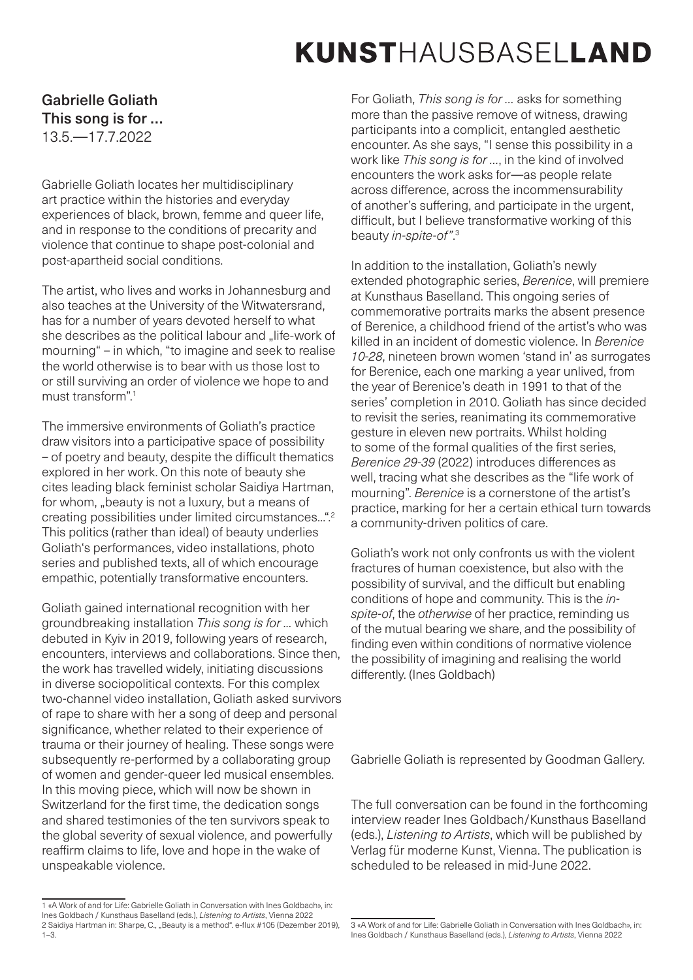# KUNSTHAUSBASELLAND

### Gabrielle Goliath This song is for … 13.5.—17.7.2022

Gabrielle Goliath locates her multidisciplinary art practice within the histories and everyday experiences of black, brown, femme and queer life, and in response to the conditions of precarity and violence that continue to shape post-colonial and post-apartheid social conditions.

The artist, who lives and works in Johannesburg and also teaches at the University of the Witwatersrand, has for a number of years devoted herself to what she describes as the political labour and "life*-*work of mourning" – in which, "to imagine and seek to realise the world otherwise is to bear with us those lost to or still surviving an order of violence we hope to and must transform"<sup>1</sup>

The immersive environments of Goliath's practice draw visitors into a participative space of possibility – of poetry and beauty, despite the difficult thematics explored in her work. On this note of beauty she cites leading black feminist scholar Saidiya Hartman, for whom, "beauty is not a luxury, but a means of creating possibilities under limited circumstances...".2 This politics (rather than ideal) of beauty underlies Goliath's performances, video installations, photo series and published texts, all of which encourage empathic, potentially transformative encounters.

Goliath gained international recognition with her groundbreaking installation *This song is for ...* which debuted in Kyiv in 2019, following years of research, encounters, interviews and collaborations. Since then, the work has travelled widely, initiating discussions in diverse sociopolitical contexts. For this complex two-channel video installation, Goliath asked survivors of rape to share with her a song of deep and personal significance, whether related to their experience of trauma or their journey of healing. These songs were subsequently re-performed by a collaborating group of women and gender-queer led musical ensembles. In this moving piece, which will now be shown in Switzerland for the first time, the dedication songs and shared testimonies of the ten survivors speak to the global severity of sexual violence, and powerfully reaffirm claims to life, love and hope in the wake of unspeakable violence.

For Goliath, *This song is for …* asks for something more than the passive remove of witness, drawing participants into a complicit, entangled aesthetic encounter. As she says, "I sense this possibility in a work like *This song is for …*, in the kind of involved encounters the work asks for—as people relate across difference, across the incommensurability of another's suffering, and participate in the urgent, difficult, but I believe transformative working of this beauty *in-spite-of"*. 3

In addition to the installation, Goliath's newly extended photographic series, *Berenice*, will premiere at Kunsthaus Baselland. This ongoing series of commemorative portraits marks the absent presence of Berenice, a childhood friend of the artist's who was killed in an incident of domestic violence. In *Berenice 10-28*, nineteen brown women 'stand in' as surrogates for Berenice, each one marking a year unlived, from the year of Berenice's death in 1991 to that of the series' completion in 2010. Goliath has since decided to revisit the series, reanimating its commemorative gesture in eleven new portraits. Whilst holding to some of the formal qualities of the first series, *Berenice 29-39* (2022) introduces differences as well, tracing what she describes as the "life work of mourning". *Berenice* is a cornerstone of the artist's practice, marking for her a certain ethical turn towards a community-driven politics of care.

Goliath's work not only confronts us with the violent fractures of human coexistence, but also with the possibility of survival, and the difficult but enabling conditions of hope and community. This is the *inspite-of*, the *otherwise* of her practice, reminding us of the mutual bearing we share, and the possibility of finding even within conditions of normative violence the possibility of imagining and realising the world differently. (Ines Goldbach)

Gabrielle Goliath is represented by Goodman Gallery.

The full conversation can be found in the forthcoming interview reader Ines Goldbach/Kunsthaus Baselland (eds.), *Listening to Artists*, which will be published by Verlag für moderne Kunst, Vienna. The publication is scheduled to be released in mid-June 2022.

<sup>1 «</sup>A Work of and for Life: Gabrielle Goliath in Conversation with Ines Goldbach», in: Ines Goldbach / Kunsthaus Baselland (eds.), *Listening to Artists*, Vienna 2022 2 Saidiya Hartman in: Sharpe, C., "Beauty is a method". e-flux #105 (Dezember 2019), 1–3.

<sup>3 «</sup>A Work of and for Life: Gabrielle Goliath in Conversation with Ines Goldbach», in: Ines Goldbach / Kunsthaus Baselland (eds.), *Listening to Artists*, Vienna 2022